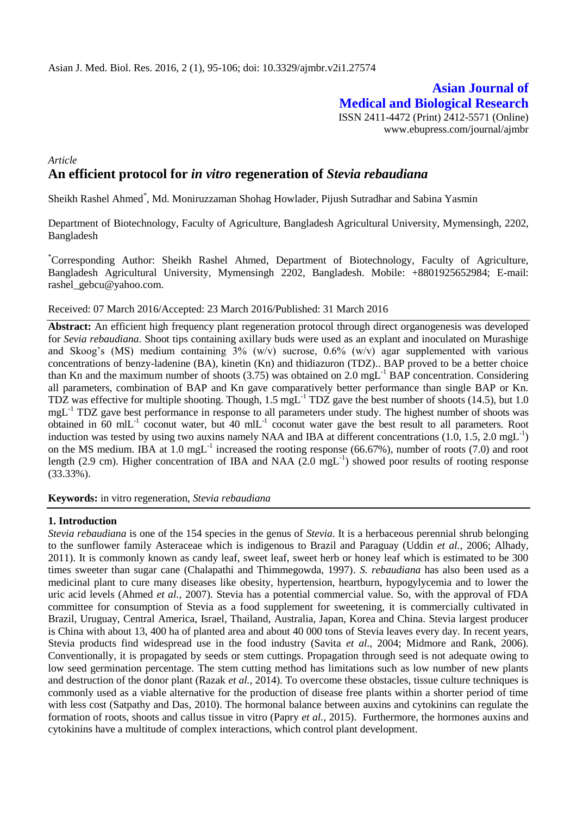# **Asian Journal of Medical and Biological Research** ISSN 2411-4472 (Print) 2412-5571 (Online) www.ebupress.com/journal/ajmbr

# *Article* **An efficient protocol for** *in vitro* **regeneration of** *Stevia rebaudiana*

Sheikh Rashel Ahmed\* , Md. Moniruzzaman Shohag Howlader, Pijush Sutradhar and Sabina Yasmin

Department of Biotechnology, Faculty of Agriculture, Bangladesh Agricultural University, Mymensingh, 2202, Bangladesh

\*Corresponding Author: Sheikh Rashel Ahmed, Department of Biotechnology, Faculty of Agriculture, Bangladesh Agricultural University, Mymensingh 2202, Bangladesh. Mobile: +8801925652984; E-mail: rashel\_gebcu@yahoo.com.

Received: 07 March 2016/Accepted: 23 March 2016/Published: 31 March 2016

**Abstract:** An efficient high frequency plant regeneration protocol through direct organogenesis was developed for *Sevia rebaudiana*. Shoot tips containing axillary buds were used as an explant and inoculated on Murashige and Skoog's (MS) medium containing 3% (w/v) sucrose, 0.6% (w/v) agar supplemented with various concentrations of benzy-ladenine (BA), kinetin (Kn) and thidiazuron (TDZ).. BAP proved to be a better choice than Kn and the maximum number of shoots  $(3.75)$  was obtained on 2.0 mgL<sup>-1</sup> BAP concentration. Considering all parameters, combination of BAP and Kn gave comparatively better performance than single BAP or Kn. TDZ was effective for multiple shooting. Though, 1.5 mgL-1 TDZ gave the best number of shoots (14.5), but 1.0 mgL<sup>-1</sup> TDZ gave best performance in response to all parameters under study. The highest number of shoots was obtained in 60 mlL<sup>-1</sup> coconut water, but 40 mlL<sup>-1</sup> coconut water gave the best result to all parameters. Root induction was tested by using two auxins namely NAA and IBA at different concentrations (1.0, 1.5, 2.0 mgL<sup>-1</sup>) on the MS medium. IBA at  $1.0 \text{ mgL}^{-1}$  increased the rooting response (66.67%), number of roots (7.0) and root length (2.9 cm). Higher concentration of IBA and NAA (2.0 mgL<sup>-1</sup>) showed poor results of rooting response (33.33%).

**Keywords:** in vitro regeneration, *Stevia rebaudiana*

#### **1. Introduction**

*Stevia rebaudiana* is one of the 154 species in the genus of *Stevia*. It is a herbaceous perennial shrub belonging to the sunflower family Asteraceae which is indigenous to Brazil and Paraguay (Uddin *et al.*, 2006; Alhady, 2011). It is commonly known as candy leaf, sweet leaf, sweet herb or honey leaf which is estimated to be 300 times sweeter than sugar cane (Chalapathi and Thimmegowda, 1997). *S. rebaudiana* has also been used as a medicinal plant to cure many diseases like obesity, hypertension, heartburn, hypogylycemia and to lower the uric acid levels (Ahmed *et al.,* 2007). Stevia has a potential commercial value. So, with the approval of FDA committee for consumption of Stevia as a food supplement for sweetening, it is commercially cultivated in Brazil, Uruguay, Central America, Israel, Thailand, Australia, Japan, Korea and China. Stevia largest producer is China with about 13, 400 ha of planted area and about 40 000 tons of Stevia leaves every day. In recent years, Stevia products find widespread use in the food industry (Savita *et al*., 2004; Midmore and Rank, 2006). Conventionally, it is propagated by seeds or stem cuttings. Propagation through seed is not adequate owing to low seed germination percentage. The stem cutting method has limitations such as low number of new plants and destruction of the donor plant (Razak *et al.*, 2014). To overcome these obstacles, tissue culture techniques is commonly used as a viable alternative for the production of disease free plants within a shorter period of time with less cost (Satpathy and Das*,* 2010). The hormonal balance between auxins and cytokinins can regulate the formation of roots, shoots and callus tissue in vitro (Papry *et al.,* 2015). Furthermore, the hormones auxins and cytokinins have a multitude of complex interactions, which control plant development.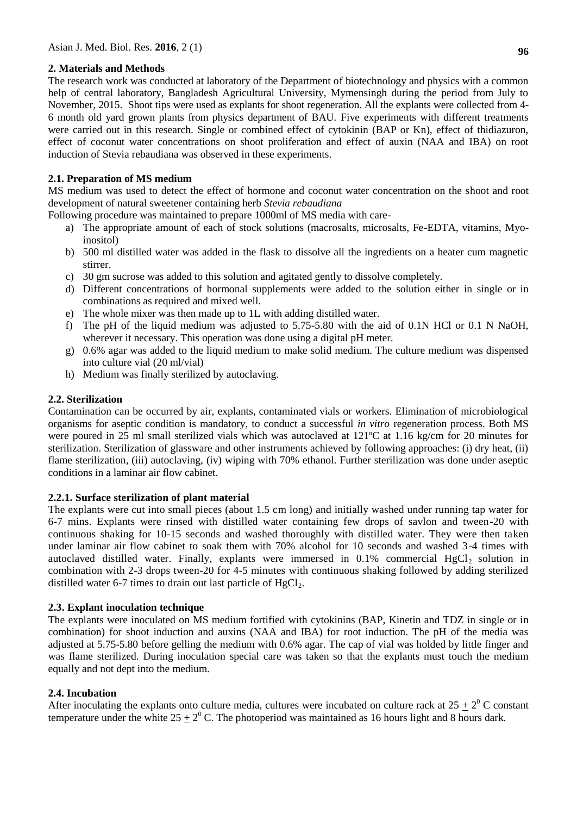# **2. Materials and Methods**

The research work was conducted at laboratory of the Department of biotechnology and physics with a common help of central laboratory, Bangladesh Agricultural University, Mymensingh during the period from July to November, 2015. Shoot tips were used as explants for shoot regeneration. All the explants were collected from 4- 6 month old yard grown plants from physics department of BAU. Five experiments with different treatments were carried out in this research. Single or combined effect of cytokinin (BAP or Kn), effect of thidiazuron, effect of coconut water concentrations on shoot proliferation and effect of auxin (NAA and IBA) on root induction of Stevia rebaudiana was observed in these experiments.

# **2.1. Preparation of MS medium**

MS medium was used to detect the effect of hormone and coconut water concentration on the shoot and root development of natural sweetener containing herb *Stevia rebaudiana*

Following procedure was maintained to prepare 1000ml of MS media with care-

- a) The appropriate amount of each of stock solutions (macrosalts, microsalts, Fe-EDTA, vitamins, Myoinositol)
- b) 500 ml distilled water was added in the flask to dissolve all the ingredients on a heater cum magnetic stirrer.
- c) 30 gm sucrose was added to this solution and agitated gently to dissolve completely.
- d) Different concentrations of hormonal supplements were added to the solution either in single or in combinations as required and mixed well.
- e) The whole mixer was then made up to 1L with adding distilled water.
- f) The pH of the liquid medium was adjusted to 5.75-5.80 with the aid of 0.1N HCl or 0.1 N NaOH, wherever it necessary. This operation was done using a digital pH meter.
- g) 0.6% agar was added to the liquid medium to make solid medium. The culture medium was dispensed into culture vial (20 ml/vial)
- h) Medium was finally sterilized by autoclaving.

# **2.2. Sterilization**

Contamination can be occurred by air, explants, contaminated vials or workers. Elimination of microbiological organisms for aseptic condition is mandatory, to conduct a successful *in vitro* regeneration process. Both MS were poured in 25 ml small sterilized vials which was autoclaved at 121ºC at 1.16 kg/cm for 20 minutes for sterilization. Sterilization of glassware and other instruments achieved by following approaches: (i) dry heat, (ii) flame sterilization, (iii) autoclaving, (iv) wiping with 70% ethanol. Further sterilization was done under aseptic conditions in a laminar air flow cabinet.

### **2.2.1. Surface sterilization of plant material**

The explants were cut into small pieces (about 1.5 cm long) and initially washed under running tap water for 6-7 mins. Explants were rinsed with distilled water containing few drops of savlon and tween-20 with continuous shaking for 10-15 seconds and washed thoroughly with distilled water. They were then taken under laminar air flow cabinet to soak them with 70% alcohol for 10 seconds and washed 3-4 times with autoclaved distilled water. Finally, explants were immersed in  $0.1\%$  commercial HgCl<sub>2</sub> solution in combination with 2-3 drops tween-20 for 4-5 minutes with continuous shaking followed by adding sterilized distilled water 6-7 times to drain out last particle of  $HgCl<sub>2</sub>$ .

### **2.3. Explant inoculation technique**

The explants were inoculated on MS medium fortified with cytokinins (BAP, Kinetin and TDZ in single or in combination) for shoot induction and auxins (NAA and IBA) for root induction. The pH of the media was adjusted at 5.75-5.80 before gelling the medium with 0.6% agar. The cap of vial was holded by little finger and was flame sterilized. During inoculation special care was taken so that the explants must touch the medium equally and not dept into the medium.

### **2.4. Incubation**

After inoculating the explants onto culture media, cultures were incubated on culture rack at  $25 \pm 2^0$  C constant temperature under the white  $25 \pm 2^0$  C. The photoperiod was maintained as 16 hours light and 8 hours dark.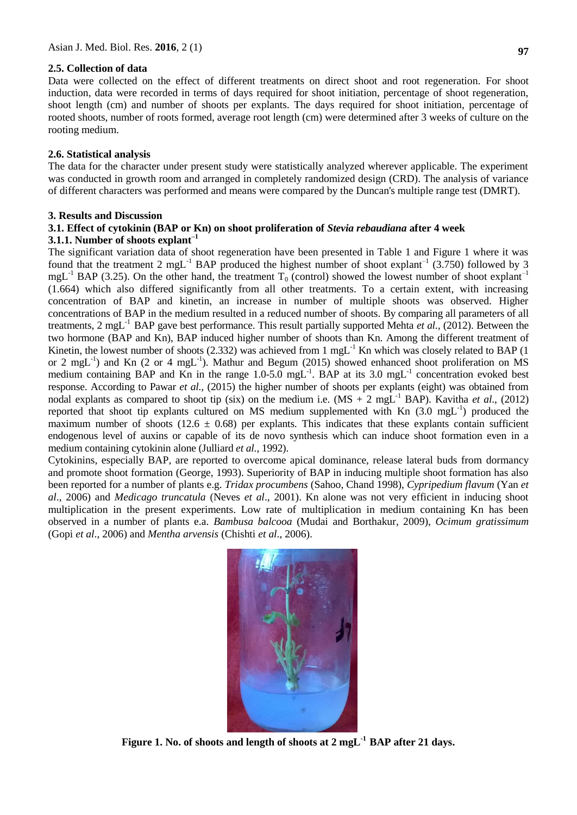### **2.5. Collection of data**

Data were collected on the effect of different treatments on direct shoot and root regeneration. For shoot induction, data were recorded in terms of days required for shoot initiation, percentage of shoot regeneration, shoot length (cm) and number of shoots per explants. The days required for shoot initiation, percentage of rooted shoots, number of roots formed, average root length (cm) were determined after 3 weeks of culture on the rooting medium.

### **2.6. Statistical analysis**

The data for the character under present study were statistically analyzed wherever applicable. The experiment was conducted in growth room and arranged in completely randomized design (CRD). The analysis of variance of different characters was performed and means were compared by the Duncan's multiple range test (DMRT).

#### **3. Results and Discussion**

### **3.1. Effect of cytokinin (BAP or Kn) on shoot proliferation of** *Stevia rebaudiana* **after 4 week 3.1.1. Number of shoots explant–1**

The significant variation data of shoot regeneration have been presented in Table 1 and Figure 1 where it was found that the treatment 2 mgL<sup>-1</sup> BAP produced the highest number of shoot explant<sup>-1</sup> (3.750) followed by 3 mgL<sup>-1</sup> BAP (3.25). On the other hand, the treatment  $T_0$  (control) showed the lowest number of shoot explant<sup>-1</sup> (1.664) which also differed significantly from all other treatments. To a certain extent, with increasing concentration of BAP and kinetin, an increase in number of multiple shoots was observed. Higher concentrations of BAP in the medium resulted in a reduced number of shoots. By comparing all parameters of all treatments, 2 mgL-1 BAP gave best performance. This result partially supported Mehta *et al.,* (2012). Between the two hormone (BAP and Kn), BAP induced higher number of shoots than Kn. Among the different treatment of Kinetin, the lowest number of shoots (2.332) was achieved from 1 mgL $^{-1}$  Kn which was closely related to BAP (1) or 2 mgL<sup>-1</sup>) and Kn (2 or 4 mgL<sup>-1</sup>). Mathur and Begum (2015) showed enhanced shoot proliferation on MS medium containing BAP and Kn in the range  $1.0$ -5.0 mgL<sup>-1</sup>. BAP at its 3.0 mgL<sup>-1</sup> concentration evoked best response. According to Pawar *et al.,* (2015) the higher number of shoots per explants (eight) was obtained from nodal explants as compared to shoot tip (six) on the medium i.e. (MS + 2 mgL-1 BAP). Kavitha *et al*., (2012) reported that shoot tip explants cultured on MS medium supplemented with Kn  $(3.0 \text{ mgL}^{-1})$  produced the maximum number of shoots (12.6  $\pm$  0.68) per explants. This indicates that these explants contain sufficient endogenous level of auxins or capable of its de novo synthesis which can induce shoot formation even in a medium containing cytokinin alone (Julliard *et al.*, 1992).

Cytokinins, especially BAP, are reported to overcome apical dominance, release lateral buds from dormancy and promote shoot formation (George, 1993). Superiority of BAP in inducing multiple shoot formation has also been reported for a number of plants e.g. *Tridax procumbens* (Sahoo, Chand 1998), *Cypripedium flavum* (Yan *et al*., 2006) and *Medicago truncatula* (Neves *et al*., 2001). Kn alone was not very efficient in inducing shoot multiplication in the present experiments. Low rate of multiplication in medium containing Kn has been observed in a number of plants e.a. *Bambusa balcooa* (Mudai and Borthakur, 2009), *Ocimum gratissimum* (Gopi *et al*., 2006) and *Mentha arvensis* (Chishti *et al*., 2006).



**Figure 1. No. of shoots and length of shoots at 2 mgL-1 BAP after 21 days.**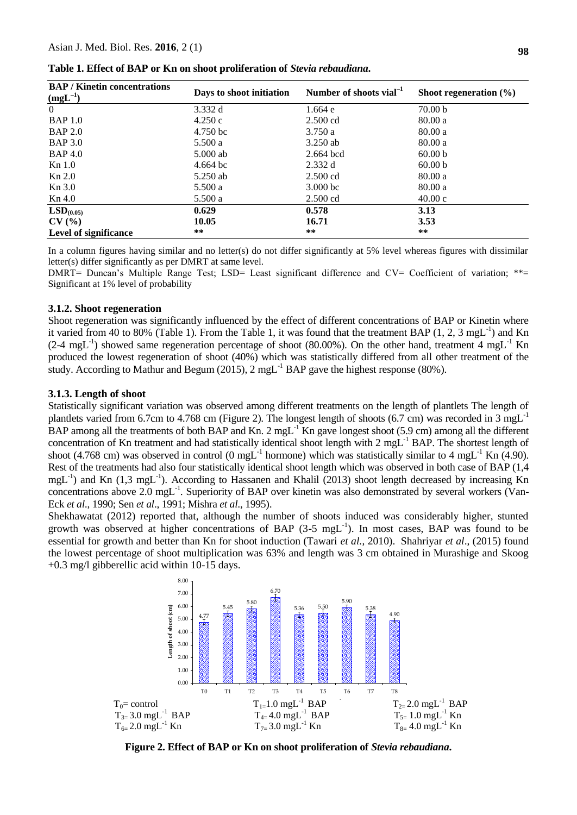| <b>BAP / Kinetin concentrations</b> | Days to shoot initiation | Number of shoots vial <sup>-1</sup> | Shoot regeneration $(\% )$ |
|-------------------------------------|--------------------------|-------------------------------------|----------------------------|
| $(mgL^{-1})$                        |                          |                                     |                            |
| $\overline{0}$                      | 3.332 d                  | 1.664 e                             | 70.00 <sub>b</sub>         |
| <b>BAP 1.0</b>                      | 4.250c                   | $2.500 \text{ cd}$                  | 80.00a                     |
| <b>BAP 2.0</b>                      | 4.750 bc                 | 3.750a                              | 80.00a                     |
| <b>BAP 3.0</b>                      | 5.500a                   | $3.250$ ab                          | 80.00a                     |
| <b>BAP 4.0</b>                      | 5.000 ab                 | $2.664$ bcd                         | 60.00 b                    |
| Kn 1.0                              | $4.664 \text{ bc}$       | 2.332d                              | 60.00 b                    |
| Kn 2.0                              | 5.250 ab                 | $2.500 \text{ cd}$                  | 80.00a                     |
| Kn 3.0                              | 5.500a                   | $3.000$ bc                          | 80.00a                     |
| Kn 4.0                              | 5.500a                   | $2.500$ cd                          | 40.00c                     |
| LSD <sub>(0.05)</sub>               | 0.629                    | 0.578                               | 3.13                       |
| CV(%)                               | 10.05                    | 16.71                               | 3.53                       |
| Level of significance               | $***$                    | **                                  | **                         |

**Table 1. Effect of BAP or Kn on shoot proliferation of** *Stevia rebaudiana***.**

In a column figures having similar and no letter(s) do not differ significantly at 5% level whereas figures with dissimilar letter(s) differ significantly as per DMRT at same level.

DMRT= Duncan's Multiple Range Test; LSD= Least significant difference and CV= Coefficient of variation; \*\*= Significant at 1% level of probability

#### **3.1.2. Shoot regeneration**

Shoot regeneration was significantly influenced by the effect of different concentrations of BAP or Kinetin where it varied from 40 to 80% (Table 1). From the Table 1, it was found that the treatment BAP  $(1, 2, 3 \text{ mgL}^{-1})$  and Kn  $(2-4 \text{ mgL}^{-1})$  showed same regeneration percentage of shoot (80.00%). On the other hand, treatment 4 mgL<sup>-1</sup> Kn produced the lowest regeneration of shoot (40%) which was statistically differed from all other treatment of the study. According to Mathur and Begum (2015),  $2 \text{ mgL}^{-1}$  BAP gave the highest response (80%).

#### **3.1.3. Length of shoot**

Statistically significant variation was observed among different treatments on the length of plantlets The length of plantlets varied from 6.7cm to 4.768 cm (Figure 2). The longest length of shoots (6.7 cm) was recorded in 3 mgL<sup>-1</sup> BAP among all the treatments of both BAP and Kn. 2 mgL $^{-1}$ Kn gave longest shoot (5.9 cm) among all the different concentration of Kn treatment and had statistically identical shoot length with 2 mgL<sup>-1</sup> BAP. The shortest length of shoot (4.768 cm) was observed in control (0 mgL<sup>-1</sup> hormone) which was statistically similar to 4 mgL<sup>-1</sup> Kn (4.90). Rest of the treatments had also four statistically identical shoot length which was observed in both case of BAP (1,4 mgL<sup>-1</sup>) and Kn (1,3 mgL<sup>-1</sup>). According to Hassanen and Khalil (2013) shoot length decreased by increasing Kn concentrations above  $2.0 \text{ mgL}^{-1}$ . Superiority of BAP over kinetin was also demonstrated by several workers (Van-Eck *et al*., 1990; Sen *et al*., 1991; Mishra *et al*., 1995).

Shekhawatat (2012) reported that, although the number of shoots induced was considerably higher, stunted growth was observed at higher concentrations of BAP (3-5 mgL<sup>-1</sup>). In most cases, BAP was found to be essential for growth and better than Kn for shoot induction (Tawari *et al.*, 2010). Shahriyar *et al*., (2015) found the lowest percentage of shoot multiplication was 63% and length was 3 cm obtained in Murashige and Skoog +0.3 mg/l gibberellic acid within 10-15 days.



**Figure 2. Effect of BAP or Kn on shoot proliferation of** *Stevia rebaudiana***.**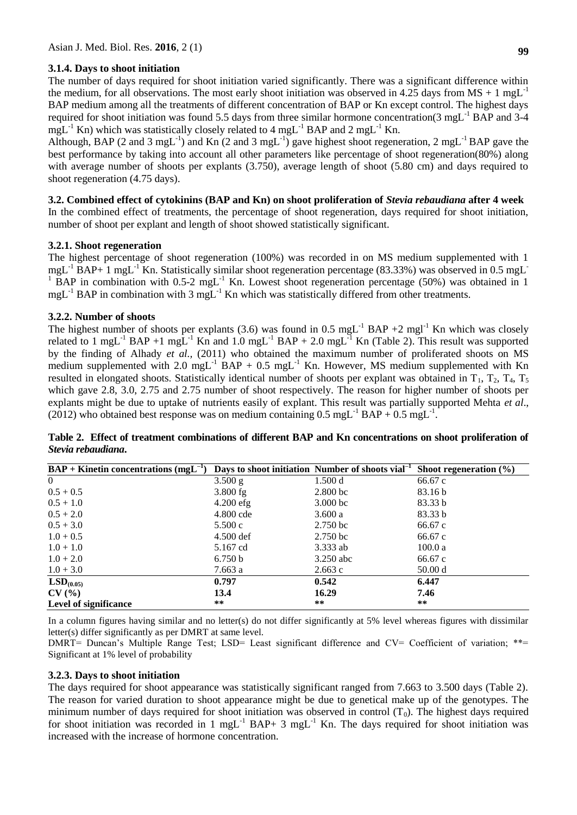# **3.1.4. Days to shoot initiation**

The number of days required for shoot initiation varied significantly. There was a significant difference within the medium, for all observations. The most early shoot initiation was observed in 4.25 days from  $MS + 1$  mgL<sup>-1</sup> BAP medium among all the treatments of different concentration of BAP or Kn except control. The highest days required for shoot initiation was found 5.5 days from three similar hormone concentration(3 mgL-1 BAP and 3-4  $mgL^{-1}$  Kn) which was statistically closely related to 4 mgL<sup>-1</sup> BAP and 2 mgL<sup>-1</sup> Kn.

Although, BAP (2 and 3 mgL<sup>-1</sup>) and Kn (2 and 3 mgL<sup>-1</sup>) gave highest shoot regeneration, 2 mgL<sup>-1</sup> BAP gave the best performance by taking into account all other parameters like percentage of shoot regeneration(80%) along with average number of shoots per explants (3.750), average length of shoot (5.80 cm) and days required to shoot regeneration (4.75 days).

### **3.2. Combined effect of cytokinins (BAP and Kn) on shoot proliferation of** *Stevia rebaudiana* **after 4 week**

In the combined effect of treatments, the percentage of shoot regeneration, days required for shoot initiation, number of shoot per explant and length of shoot showed statistically significant.

# **3.2.1. Shoot regeneration**

The highest percentage of shoot regeneration (100%) was recorded in on MS medium supplemented with 1  $mgL^{-1}$  BAP+ 1 mgL<sup>-1</sup> Kn. Statistically similar shoot regeneration percentage (83.33%) was observed in 0.5 mgL<sup>-1</sup> <sup>1</sup> BAP in combination with 0.5-2 mgL<sup>-1</sup> Kn. Lowest shoot regeneration percentage (50%) was obtained in 1 mgL<sup>-1</sup> BAP in combination with 3 mgL<sup>-1</sup> Kn which was statistically differed from other treatments.

# **3.2.2. Number of shoots**

The highest number of shoots per explants (3.6) was found in 0.5 mgL<sup>-1</sup> BAP +2 mgl<sup>-1</sup> Kn which was closely related to 1 mgL<sup>-1</sup> BAP +1 mgL<sup>-1</sup> Kn and 1.0 mgL<sup>-1</sup> BAP + 2.0 mgL<sup>-1</sup> Kn (Table 2). This result was supported by the finding of Alhady *et al.*, (2011) who obtained the maximum number of proliferated shoots on MS medium supplemented with  $2.0 \text{ mgL}^{-1}$  BAP + 0.5 mgL<sup>-1</sup> Kn. However, MS medium supplemented with Kn resulted in elongated shoots. Statistically identical number of shoots per explant was obtained in  $T_1$ ,  $T_2$ ,  $T_4$ ,  $T_5$ which gave 2.8, 3.0, 2.75 and 2.75 number of shoot respectively. The reason for higher number of shoots per explants might be due to uptake of nutrients easily of explant. This result was partially supported Mehta *et al*., (2012) who obtained best response was on medium containing  $0.5 \text{ mgL}^{-1} \text{ BAP} + 0.5 \text{ mgL}^{-1}$ .

| $BAP + Kinetin concentrations (mgL-1)$ |             | Days to shoot initiation Number of shoots vial <sup>-1</sup> | Shoot regeneration $(\% )$ |
|----------------------------------------|-------------|--------------------------------------------------------------|----------------------------|
| $\overline{0}$                         | 3.500 g     | 1.500 d                                                      | 66.67 c                    |
| $0.5 + 0.5$                            | $3.800$ fg  | $2.800$ bc                                                   | 83.16 b                    |
| $0.5 + 1.0$                            | $4.200$ efg | $3.000$ bc                                                   | 83.33 b                    |
| $0.5 + 2.0$                            | 4.800 cde   | 3.600 a                                                      | 83.33 b                    |
| $0.5 + 3.0$                            | 5.500c      | 2.750 <sub>bc</sub>                                          | 66.67 c                    |
| $1.0 + 0.5$                            | $4.500$ def | 2.750 <sub>bc</sub>                                          | 66.67 c                    |
| $1.0 + 1.0$                            | 5.167 cd    | 3.333 ab                                                     | 100.0 a                    |
| $1.0 + 2.0$                            | 6.750 b     | 3.250 abc                                                    | 66.67 c                    |
| $1.0 + 3.0$                            | 7.663 a     | 2.663c                                                       | 50.00 d                    |
| LSD <sub>(0.05)</sub>                  | 0.797       | 0.542                                                        | 6.447                      |
| CV(%)                                  | 13.4        | 16.29                                                        | 7.46                       |
| <b>Level of significance</b>           | $***$       | $***$                                                        | $***$                      |

**Table 2. Effect of treatment combinations of different BAP and Kn concentrations on shoot proliferation of**  *Stevia rebaudiana***.**

In a column figures having similar and no letter(s) do not differ significantly at 5% level whereas figures with dissimilar letter(s) differ significantly as per DMRT at same level.

DMRT= Duncan's Multiple Range Test; LSD= Least significant difference and CV= Coefficient of variation; \*\*= Significant at 1% level of probability

# **3.2.3. Days to shoot initiation**

The days required for shoot appearance was statistically significant ranged from 7.663 to 3.500 days (Table 2). The reason for varied duration to shoot appearance might be due to genetical make up of the genotypes. The minimum number of days required for shoot initiation was observed in control  $(T_0)$ . The highest days required for shoot initiation was recorded in 1 mgL $^{-1}$  BAP+ 3 mgL $^{-1}$  Kn. The days required for shoot initiation was increased with the increase of hormone concentration.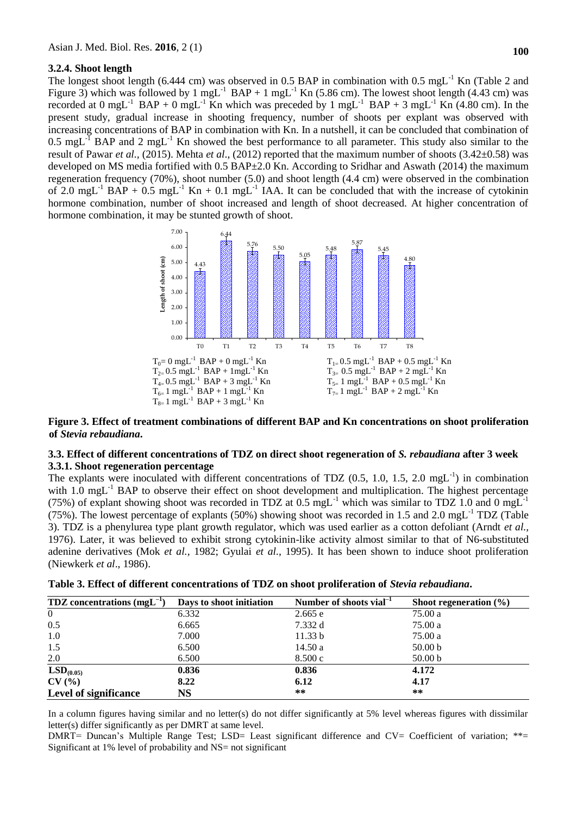#### **3.2.4. Shoot length**

The longest shoot length (6.444 cm) was observed in 0.5 BAP in combination with 0.5 mgL<sup>-1</sup> Kn (Table 2 and Figure 3) which was followed by 1 mgL<sup>-1</sup> BAP + 1 mgL<sup>-1</sup> Kn (5.86 cm). The lowest shoot length (4.43 cm) was recorded at 0 mgL<sup>-1</sup> BAP + 0 mgL<sup>-1</sup> Kn which was preceded by 1 mgL<sup>-1</sup> BAP + 3 mgL<sup>-1</sup> Kn (4.80 cm). In the present study, gradual increase in shooting frequency, number of shoots per explant was observed with increasing concentrations of BAP in combination with Kn. In a nutshell, it can be concluded that combination of  $0.5 \text{ mgL}^{-1}$  BAP and 2 mgL<sup>-1</sup> Kn showed the best performance to all parameter. This study also similar to the result of Pawar *et al.,* (2015). Mehta *et al*., (2012) reported that the maximum number of shoots (3.42±0.58) was developed on MS media fortified with 0.5 BAP±2.0 Kn. According to Sridhar and Aswath (2014) the maximum regeneration frequency (70%), shoot number (5.0) and shoot length (4.4 cm) were observed in the combination of 2.0 mgL<sup>-1</sup> BAP + 0.5 mgL<sup>-1</sup> Kn + 0.1 mgL<sup>-1</sup> IAA. It can be concluded that with the increase of cytokinin hormone combination, number of shoot increased and length of shoot decreased. At higher concentration of hormone combination, it may be stunted growth of shoot.



#### **Figure 3. Effect of treatment combinations of different BAP and Kn concentrations on shoot proliferation of** *Stevia rebaudiana***.**

### **3.3. Effect of different concentrations of TDZ on direct shoot regeneration of** *S. rebaudiana* **after 3 week 3.3.1. Shoot regeneration percentage**

The explants were inoculated with different concentrations of TDZ  $(0.5, 1.0, 1.5, 2.0 \text{ mgL}^{-1})$  in combination with  $1.0 \text{ mgL}^{-1}$  BAP to observe their effect on shoot development and multiplication. The highest percentage (75%) of explant showing shoot was recorded in TDZ at  $0.5 \text{ mgL}^{-1}$  which was similar to TDZ 1.0 and 0 mgL<sup>-1</sup> (75%). The lowest percentage of explants (50%) showing shoot was recorded in 1.5 and 2.0 mgL $^{-1}$  TDZ (Table 3). TDZ is a phenylurea type plant growth regulator, which was used earlier as a cotton defoliant (Arndt *et al.,* 1976). Later, it was believed to exhibit strong cytokinin-like activity almost similar to that of N6-substituted adenine derivatives (Mok *et al.,* 1982; Gyulai *et al.,* 1995). It has been shown to induce shoot proliferation (Niewkerk *et al*., 1986).

| <b>TDZ</b> concentrations $(mgL^{-1})$ | Days to shoot initiation | Number of shoots vial <sup><math>-1</math></sup> | Shoot regeneration $(\% )$ |
|----------------------------------------|--------------------------|--------------------------------------------------|----------------------------|
| $\overline{0}$                         | 6.332                    | 2.665 e                                          | 75.00 a                    |
| 0.5                                    | 6.665                    | 7.332 d                                          | 75.00 a                    |
| 1.0                                    | 7.000                    | 11.33 b                                          | 75.00 a                    |
| 1.5                                    | 6.500                    | 14.50a                                           | 50.00 b                    |
| 2.0                                    | 6.500                    | 8.500c                                           | 50.00 <sub>b</sub>         |
| LSD <sub>(0.05)</sub>                  | 0.836                    | 0.836                                            | 4.172                      |
| CV(%)                                  | 8.22                     | 6.12                                             | 4.17                       |
| Level of significance                  | NS                       | **                                               | $**$                       |

|  | Table 3. Effect of different concentrations of TDZ on shoot proliferation of <i>Stevia rebaudiana</i> . |  |  |  |
|--|---------------------------------------------------------------------------------------------------------|--|--|--|
|--|---------------------------------------------------------------------------------------------------------|--|--|--|

In a column figures having similar and no letter(s) do not differ significantly at 5% level whereas figures with dissimilar letter(s) differ significantly as per DMRT at same level.

DMRT= Duncan's Multiple Range Test; LSD= Least significant difference and CV= Coefficient of variation; \*\*= Significant at 1% level of probability and NS= not significant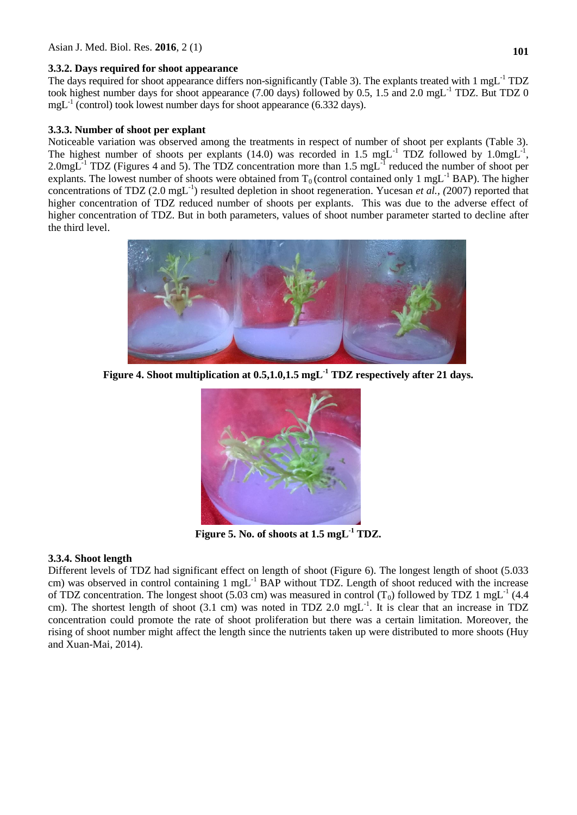# **3.3.2. Days required for shoot appearance**

The days required for shoot appearance differs non-significantly (Table 3). The explants treated with 1 mgL<sup>-1</sup> TDZ took highest number days for shoot appearance (7.00 days) followed by 0.5, 1.5 and 2.0 mgL<sup>-1</sup> TDZ. But TDZ 0  $mgL<sup>-1</sup>$  (control) took lowest number days for shoot appearance (6.332 days).

# **3.3.3. Number of shoot per explant**

Noticeable variation was observed among the treatments in respect of number of shoot per explants (Table 3). The highest number of shoots per explants (14.0) was recorded in 1.5 mgL<sup>-1</sup> TDZ followed by 1.0mgL<sup>-1</sup>, 2.0mgL $^{-1}$  TDZ (Figures 4 and 5). The TDZ concentration more than 1.5 mgL $^{-1}$  reduced the number of shoot per explants. The lowest number of shoots were obtained from  $T_0$  (control contained only 1 mgL<sup>-1</sup> BAP). The higher concentrations of TDZ (2.0 mgL<sup>-1</sup>) resulted depletion in shoot regeneration. Yucesan *et al.*, (2007) reported that higher concentration of TDZ reduced number of shoots per explants. This was due to the adverse effect of higher concentration of TDZ. But in both parameters, values of shoot number parameter started to decline after the third level.



**Figure 4. Shoot multiplication at 0.5,1.0,1.5 mgL-1 TDZ respectively after 21 days.**



**Figure 5. No. of shoots at 1.5 mgL-1 TDZ.**

# **3.3.4. Shoot length**

Different levels of TDZ had significant effect on length of shoot (Figure 6). The longest length of shoot (5.033 cm) was observed in control containing 1 mgL<sup>-1</sup> BAP without TDZ. Length of shoot reduced with the increase of TDZ concentration. The longest shoot (5.03 cm) was measured in control (T<sub>0</sub>) followed by TDZ 1 mgL<sup>-1</sup> (4.4 cm). The shortest length of shoot  $(3.1 \text{ cm})$  was noted in TDZ 2.0 mgL<sup>-1</sup>. It is clear that an increase in TDZ concentration could promote the rate of shoot proliferation but there was a certain limitation. Moreover, the rising of shoot number might affect the length since the nutrients taken up were distributed to more shoots (Huy and Xuan-Mai, 2014).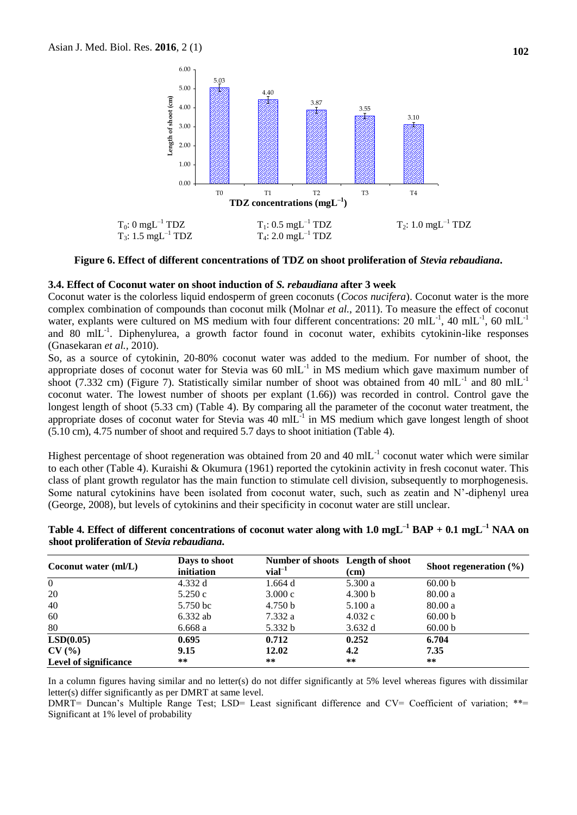

**Figure 6. Effect of different concentrations of TDZ on shoot proliferation of** *Stevia rebaudiana***.**

#### **3.4. Effect of Coconut water on shoot induction of** *S. rebaudiana* **after 3 week**

Coconut water is the colorless liquid endosperm of green coconuts (*Cocos nucifera*). Coconut water is the more complex combination of compounds than coconut milk (Molnar *et al.*, 2011). To measure the effect of coconut water, explants were cultured on MS medium with four different concentrations: 20 mlL<sup>-1</sup>, 40 mlL<sup>-1</sup>, 60 mlL<sup>-1</sup> and 80 mlL<sup>-1</sup>. Diphenylurea, a growth factor found in coconut water, exhibits cytokinin-like responses (Gnasekaran *et al.,* 2010).

So, as a source of cytokinin, 20-80% coconut water was added to the medium. For number of shoot, the appropriate doses of coconut water for Stevia was  $60 \text{ mil}^{-1}$  in MS medium which gave maximum number of shoot (7.332 cm) (Figure 7). Statistically similar number of shoot was obtained from 40 mlL<sup>-1</sup> and 80 mlL<sup>-1</sup> coconut water. The lowest number of shoots per explant (1.66)) was recorded in control. Control gave the longest length of shoot (5.33 cm) (Table 4). By comparing all the parameter of the coconut water treatment, the appropriate doses of coconut water for Stevia was  $40 \text{ mIL}^{-1}$  in MS medium which gave longest length of shoot (5.10 cm), 4.75 number of shoot and required 5.7 days to shoot initiation (Table 4).

Highest percentage of shoot regeneration was obtained from 20 and 40 mlL<sup>-1</sup> coconut water which were similar to each other (Table 4). Kuraishi & Okumura (1961) reported the cytokinin activity in fresh coconut water. This class of plant growth regulator has the main function to stimulate cell division, subsequently to morphogenesis. Some natural cytokinins have been isolated from coconut water, such, such as zeatin and N'-diphenyl urea (George, 2008), but levels of cytokinins and their specificity in coconut water are still unclear.

| Coconut water $(mI/L)$       | Days to shoot<br>initiation | Number of shoots Length of shoot<br>$vial^{-1}$ | (cm)    | Shoot regeneration $(\% )$ |  |  |
|------------------------------|-----------------------------|-------------------------------------------------|---------|----------------------------|--|--|
| $\Omega$                     | 4.332 d                     | 1.664 d                                         | 5.300 a | 60.00 <sub>b</sub>         |  |  |
| 20                           | 5.250c                      | 3.000c                                          | 4.300 b | 80.00a                     |  |  |
| 40                           | 5.750 bc                    | 4.750 b                                         | 5.100a  | 80.00a                     |  |  |
| 60                           | $6.332$ ab                  | 7.332 a                                         | 4.032c  | 60.00 <sub>b</sub>         |  |  |
| 80                           | 6.668a                      | 5.332 b                                         | 3.632 d | 60.00 <sub>b</sub>         |  |  |
| LSD(0.05)                    | 0.695                       | 0.712                                           | 0.252   | 6.704                      |  |  |
| CV(%)                        | 9.15                        | 12.02                                           | 4.2     | 7.35                       |  |  |
| <b>Level of significance</b> | **                          | $***$                                           | $***$   | **                         |  |  |

**Table 4. Effect of different concentrations of coconut water along with 1.0 mgL–1 BAP + 0.1 mgL–1 NAA on shoot proliferation of** *Stevia rebaudiana***.**

In a column figures having similar and no letter(s) do not differ significantly at 5% level whereas figures with dissimilar letter(s) differ significantly as per DMRT at same level.

DMRT= Duncan's Multiple Range Test; LSD= Least significant difference and CV= Coefficient of variation; \*\*= Significant at 1% level of probability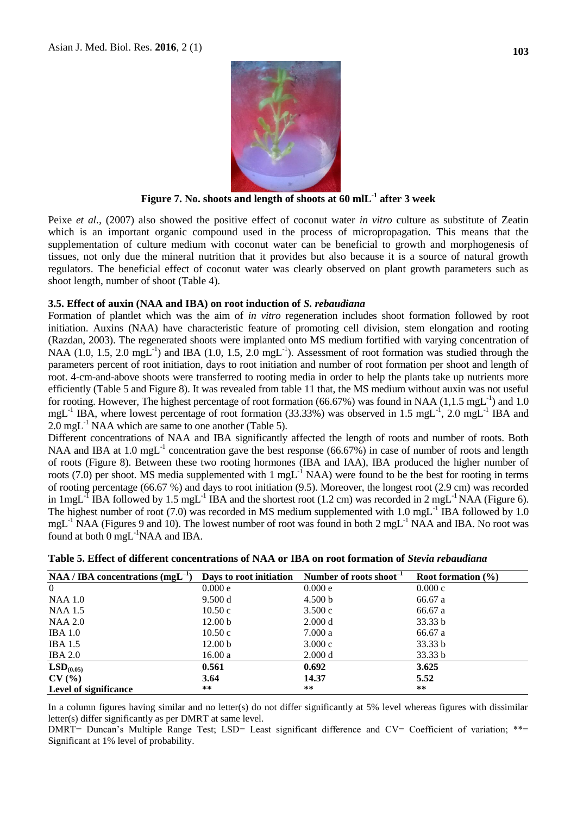

**Figure 7. No. shoots and length of shoots at 60 mlL-1 after 3 week**

Peixe *et al.,* (2007) also showed the positive effect of coconut water *in vitro* culture as substitute of Zeatin which is an important organic compound used in the process of micropropagation. This means that the supplementation of culture medium with coconut water can be beneficial to growth and morphogenesis of tissues, not only due the mineral nutrition that it provides but also because it is a source of natural growth regulators. The beneficial effect of coconut water was clearly observed on plant growth parameters such as shoot length, number of shoot (Table 4).

#### **3.5. Effect of auxin (NAA and IBA) on root induction of** *S. rebaudiana*

Formation of plantlet which was the aim of *in vitro* regeneration includes shoot formation followed by root initiation. Auxins (NAA) have characteristic feature of promoting cell division, stem elongation and rooting (Razdan, 2003). The regenerated shoots were implanted onto MS medium fortified with varying concentration of NAA (1.0, 1.5, 2.0 mgL<sup>-1</sup>) and IBA (1.0, 1.5, 2.0 mgL<sup>-1</sup>). Assessment of root formation was studied through the parameters percent of root initiation, days to root initiation and number of root formation per shoot and length of root. 4-cm-and-above shoots were transferred to rooting media in order to help the plants take up nutrients more efficiently (Table 5 and Figure 8). It was revealed from table 11 that, the MS medium without auxin was not useful for rooting. However, The highest percentage of root formation (66.67%) was found in NAA (1,1.5 mgL<sup>-1</sup>) and 1.0 mgL<sup>-1</sup> IBA, where lowest percentage of root formation (33.33%) was observed in 1.5 mgL<sup>-1</sup>, 2.0 mgL<sup>-1</sup> IBA and  $2.0 \text{ mgL}^{-1}$  NAA which are same to one another (Table 5).

Different concentrations of NAA and IBA significantly affected the length of roots and number of roots. Both NAA and IBA at 1.0 mgL<sup>-1</sup> concentration gave the best response  $(66.67\%)$  in case of number of roots and length of roots (Figure 8). Between these two rooting hormones (IBA and IAA), IBA produced the higher number of roots (7.0) per shoot. MS media supplemented with  $1 \text{ mgL}^{-1}$  NAA) were found to be the best for rooting in terms of rooting percentage (66.67 %) and days to root initiation (9.5). Moreover, the longest root (2.9 cm) was recorded in 1mgL<sup>-1</sup> IBA followed by 1.5 mgL<sup>-1</sup> IBA and the shortest root (1.2 cm) was recorded in 2 mgL<sup>-1</sup> NAA (Figure 6). The highest number of root (7.0) was recorded in MS medium supplemented with  $1.0 \text{ mgL}^{-1}$  IBA followed by  $1.0$ mgL<sup>-1</sup> NAA (Figures 9 and 10). The lowest number of root was found in both 2 mgL<sup>-1</sup> NAA and IBA. No root was found at both  $0 \text{ mgL}^{-1}$ NAA and IBA.

| $NAA / IBA$ concentrations (mgL <sup>-1</sup> ) |                    | Days to root initiation Number of roots shoot <sup>-1</sup> | Root formation $(\% )$ |
|-------------------------------------------------|--------------------|-------------------------------------------------------------|------------------------|
| $\overline{0}$                                  | 0.000 e            | 0.000 e                                                     | 0.000c                 |
| NAA 1.0                                         | 9.500 d            | 4.500 b                                                     | 66.67 a                |
| NAA 1.5                                         | 10.50c             | 3.500c                                                      | 66.67 a                |
| NAA 2.0                                         | 12.00 <sub>b</sub> | 2.000 d                                                     | 33.33 b                |
| <b>IBA</b> 1.0                                  | 10.50c             | 7.000a                                                      | 66.67 a                |
| <b>IBA 1.5</b>                                  | 12.00 <sub>b</sub> | 3.000c                                                      | 33.33 b                |
| <b>IBA 2.0</b>                                  | 16.00a             | 2.000 d                                                     | 33.33 b                |
| LSD <sub>(0.05)</sub>                           | 0.561              | 0.692                                                       | 3.625                  |
| CV(%)                                           | 3.64               | 14.37                                                       | 5.52                   |
| <b>Level of significance</b>                    | $***$              | $***$                                                       | $***$                  |

|  |  |  | Table 5. Effect of different concentrations of NAA or IBA on root formation of Stevia rebaudiana |  |  |  |  |  |
|--|--|--|--------------------------------------------------------------------------------------------------|--|--|--|--|--|
|--|--|--|--------------------------------------------------------------------------------------------------|--|--|--|--|--|

In a column figures having similar and no letter(s) do not differ significantly at 5% level whereas figures with dissimilar letter(s) differ significantly as per DMRT at same level.

DMRT= Duncan's Multiple Range Test; LSD= Least significant difference and CV= Coefficient of variation; \*\*= Significant at 1% level of probability.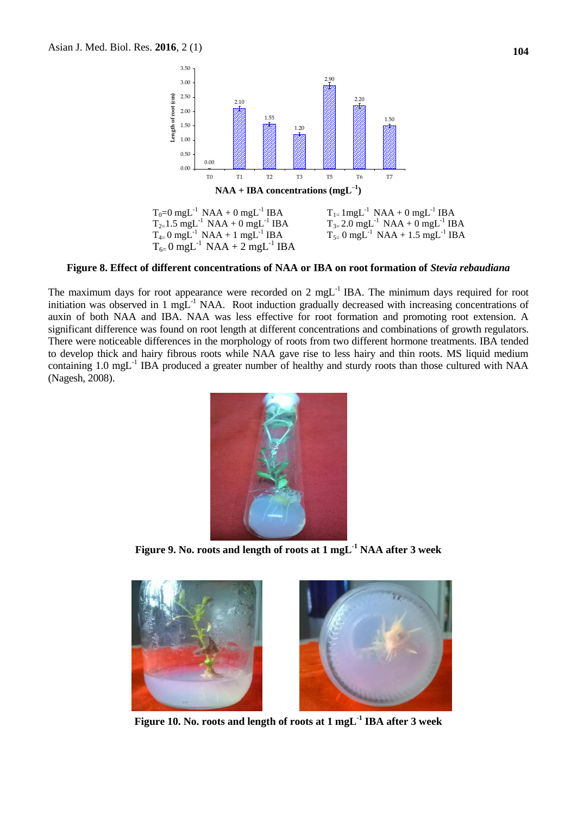

#### **Figure 8. Effect of different concentrations of NAA or IBA on root formation of** *Stevia rebaudiana*

The maximum days for root appearance were recorded on 2 mgL $^{-1}$  IBA. The minimum days required for root initiation was observed in 1 mgL-1 NAA. Root induction gradually decreased with increasing concentrations of auxin of both NAA and IBA. NAA was less effective for root formation and promoting root extension. A significant difference was found on root length at different concentrations and combinations of growth regulators. There were noticeable differences in the morphology of roots from two different hormone treatments. IBA tended to develop thick and hairy fibrous roots while NAA gave rise to less hairy and thin roots. MS liquid medium containing 1.0 mgL<sup>-1</sup> IBA produced a greater number of healthy and sturdy roots than those cultured with NAA (Nagesh, 2008).



**Figure 9. No. roots and length of roots at 1 mgL-1 NAA after 3 week**



**Figure 10. No. roots and length of roots at 1 mgL-1 IBA after 3 week**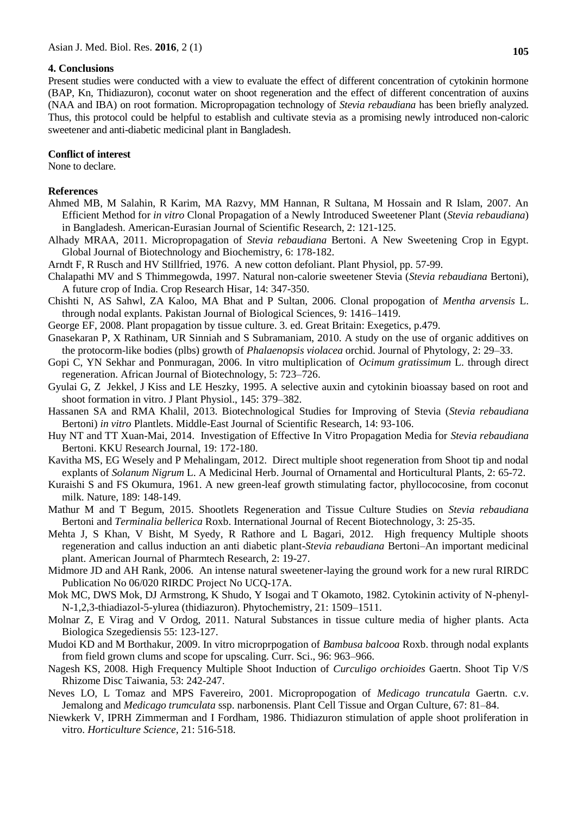#### **4. Conclusions**

Present studies were conducted with a view to evaluate the effect of different concentration of cytokinin hormone (BAP, Kn, Thidiazuron), coconut water on shoot regeneration and the effect of different concentration of auxins (NAA and IBA) on root formation. Micropropagation technology of *Stevia rebaudiana* has been briefly analyzed. Thus, this protocol could be helpful to establish and cultivate stevia as a promising newly introduced non-caloric sweetener and anti-diabetic medicinal plant in Bangladesh.

#### **Conflict of interest**

None to declare.

#### **References**

- Ahmed MB, M Salahin, R Karim, MA Razvy, MM Hannan, R Sultana, M Hossain and R Islam, 2007. An Efficient Method for *in vitro* Clonal Propagation of a Newly Introduced Sweetener Plant (*Stevia rebaudiana*) in Bangladesh. American-Eurasian Journal of Scientific Research, 2: 121-125.
- Alhady MRAA, 2011. Micropropagation of *Stevia rebaudiana* Bertoni. A New Sweetening Crop in Egypt. Global Journal of Biotechnology and Biochemistry, 6: 178-182.
- Arndt F, R Rusch and HV Stillfried, 1976. A new cotton defoliant. Plant Physiol, pp. 57-99.
- Chalapathi MV and S Thimmegowda, 1997. Natural non-calorie sweetener Stevia (*Stevia rebaudiana* Bertoni), A future crop of India. Crop Research Hisar, 14: 347-350.
- Chishti N, AS Sahwl, ZA Kaloo, MA Bhat and P Sultan, 2006. Clonal propogation of *Mentha arvensis* L. through nodal explants. Pakistan Journal of Biological Sciences, 9: 1416–1419.
- George EF, 2008. Plant propagation by tissue culture. 3. ed. Great Britain: Exegetics, p.479.
- Gnasekaran P, X Rathinam, UR Sinniah and S Subramaniam, 2010. A study on the use of organic additives on the protocorm-like bodies (plbs) growth of *Phalaenopsis violacea* orchid. Journal of Phytology, 2: 29–33.
- Gopi C, YN Sekhar and Ponmuragan, 2006. In vitro multiplication of *Ocimum gratissimum* L. through direct regeneration. African Journal of Biotechnology, 5: 723–726.
- Gyulai G, Z Jekkel, J Kiss and LE Heszky, 1995. A selective auxin and cytokinin bioassay based on root and shoot formation in vitro. J Plant Physiol., 145: 379–382.
- Hassanen SA and RMA Khalil, 2013. Biotechnological Studies for Improving of Stevia (*Stevia rebaudiana* Bertoni) *in vitro* Plantlets. Middle-East Journal of Scientific Research, 14: 93-106.
- Huy NT and TT Xuan-Mai, 2014. Investigation of Effective In Vitro Propagation Media for *Stevia rebaudiana* Bertoni. KKU Research Journal, 19: 172-180.
- Kavitha MS, EG Wesely and P Mehalingam, 2012. Direct multiple shoot regeneration from Shoot tip and nodal explants of *Solanum Nigrum* L. A Medicinal Herb. Journal of Ornamental and Horticultural Plants, 2: 65-72.
- Kuraishi S and FS Okumura, 1961. A new green-leaf growth stimulating factor, phyllococosine, from coconut milk. Nature, 189: 148-149.
- Mathur M and T Begum, 2015. Shootlets Regeneration and Tissue Culture Studies on *Stevia rebaudiana* Bertoni and *Terminalia bellerica* Roxb. International Journal of Recent Biotechnology, 3: 25-35.
- Mehta J, S Khan, V Bisht, M Syedy, R Rathore and L Bagari, 2012. High frequency Multiple shoots regeneration and callus induction an anti diabetic plant-*Stevia rebaudiana* Bertoni–An important medicinal plant. American Journal of Pharmtech Research, 2: 19-27.
- Midmore JD and AH Rank, 2006. An intense natural sweetener-laying the ground work for a new rural RIRDC Publication No 06/020 RIRDC Project No UCQ-17A.
- Mok MC, DWS Mok, DJ Armstrong, K Shudo, Y Isogai and T Okamoto, 1982. Cytokinin activity of N-phenyl-N-1,2,3-thiadiazol-5-ylurea (thidiazuron). Phytochemistry, 21: 1509–1511.
- Molnar Z, E Virag and V Ordog, 2011. Natural Substances in tissue culture media of higher plants. Acta Biologica Szegediensis 55: 123-127.
- Mudoi KD and M Borthakur, 2009. In vitro microprpogation of *Bambusa balcooa* Roxb. through nodal explants from field grown clums and scope for upscaling. Curr. Sci., 96: 963–966.
- Nagesh KS, 2008. High Frequency Multiple Shoot Induction of *Curculigo orchioides* Gaertn. Shoot Tip V/S Rhizome Disc Taiwania, 53: 242-247.
- Neves LO, L Tomaz and MPS Favereiro, 2001. Micropropogation of *Medicago truncatula* Gaertn. c.v. Jemalong and *Medicago trumculata* ssp. narbonensis. Plant Cell Tissue and Organ Culture, 67: 81–84.
- Niewkerk V, IPRH Zimmerman and I Fordham, 1986. Thidiazuron stimulation of apple shoot proliferation in vitro. *Horticulture Science,* 21: 516-518.